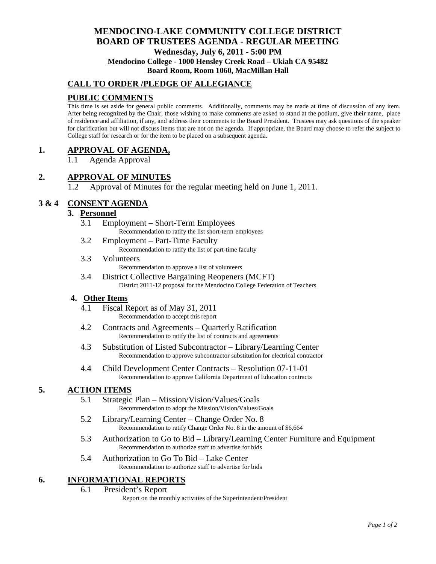# **MENDOCINO-LAKE COMMUNITY COLLEGE DISTRICT BOARD OF TRUSTEES AGENDA** - **REGULAR MEETING Wednesday, July 6, 2011 - 5:00 PM Mendocino College - 1000 Hensley Creek Road – Ukiah CA 95482**

# **Board Room, Room 1060, MacMillan Hall**

# **CALL TO ORDER /PLEDGE OF ALLEGIANCE**

# **PUBLIC COMMENTS**

This time is set aside for general public comments. Additionally, comments may be made at time of discussion of any item. After being recognized by the Chair, those wishing to make comments are asked to stand at the podium, give their name, place of residence and affiliation, if any, and address their comments to the Board President. Trustees may ask questions of the speaker for clarification but will not discuss items that are not on the agenda. If appropriate, the Board may choose to refer the subject to College staff for research or for the item to be placed on a subsequent agenda.

### **1. APPROVAL OF AGENDA,**

1.1 Agenda Approval

#### **2. APPROVAL OF MINUTES**

1.2 Approval of Minutes for the regular meeting held on June 1, 2011.

# **3 & 4 CONSENT AGENDA**

### **3. Personnel**

- 3.1 Employment Short-Term Employees Recommendation to ratify the list short-term employees
- 3.2 Employment Part-Time Faculty Recommendation to ratify the list of part-time faculty
- 3.3 Volunteers Recommendation to approve a list of volunteers
- 3.4 District Collective Bargaining Reopeners (MCFT) District 2011-12 proposal for the Mendocino College Federation of Teachers

#### **4. Other Items**

- 4.1 Fiscal Report as of May 31, 2011 Recommendation to accept this report
- 4.2 Contracts and Agreements Quarterly Ratification Recommendation to ratify the list of contracts and agreements
- 4.3 Substitution of Listed Subcontractor Library/Learning Center Recommendation to approve subcontractor substitution for electrical contractor
- 4.4 Child Development Center Contracts Resolution 07-11-01 Recommendation to approve California Department of Education contracts

### **5. ACTION ITEMS**

- 5.1 Strategic Plan Mission/Vision/Values/Goals Recommendation to adopt the Mission/Vision/Values/Goals
- 5.2 Library/Learning Center Change Order No. 8 Recommendation to ratify Change Order No. 8 in the amount of \$6,664
- 5.3 Authorization to Go to Bid Library/Learning Center Furniture and Equipment Recommendation to authorize staff to advertise for bids
- 5.4 Authorization to Go To Bid Lake Center Recommendation to authorize staff to advertise for bids

# **6. INFORMATIONAL REPORTS**

#### 6.1 President's Report

Report on the monthly activities of the Superintendent/President